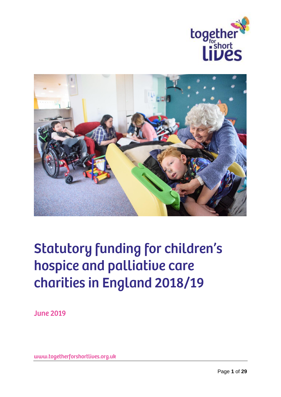



# **Statutory funding for children's** hospice and palliative care charities in England 2018/19

**June 2019** 

www.togetherforshortlives.org.uk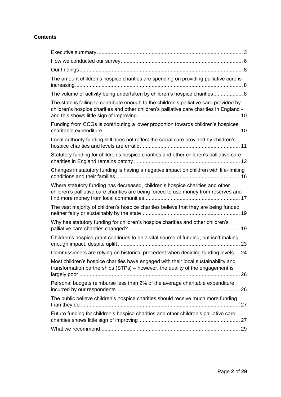# **Contents**

| The amount children's hospice charities are spending on providing palliative care is                                                                                                |  |
|-------------------------------------------------------------------------------------------------------------------------------------------------------------------------------------|--|
| The volume of activity being undertaken by children's hospice charities 8                                                                                                           |  |
| The state is failing to contribute enough to the children's palliative care provided by<br>children's hospice charities and other children's palliative care charities in England - |  |
| Funding from CCGs is contributing a lower proportion towards children's hospices'                                                                                                   |  |
| Local authority funding still does not reflect the social care provided by children's                                                                                               |  |
| Statutory funding for children's hospice charities and other children's palliative care                                                                                             |  |
| Changes in statutory funding is having a negative impact on children with life-limiting                                                                                             |  |
| Where statutory funding has decreased, children's hospice charities and other<br>children's palliative care charities are being forced to use money from reserves and               |  |
| The vast majority of children's hospice charities believe that they are being funded                                                                                                |  |
| Why has statutory funding for children's hospice charities and other children's                                                                                                     |  |
| Children's hospice grant continues to be a vital source of funding, but isn't making                                                                                                |  |
| Commissioners are relying on historical precedent when deciding funding levels 24                                                                                                   |  |
| Most children's hospice charities have engaged with their local sustainability and<br>transformation partnerships (STPs) – however, the quality of the engagement is                |  |
| Personal budgets reimburse less than 2% of the average charitable expenditure                                                                                                       |  |
| The public believe children's hospice charities should receive much more funding                                                                                                    |  |
| Future funding for children's hospice charities and other children's palliative care                                                                                                |  |
|                                                                                                                                                                                     |  |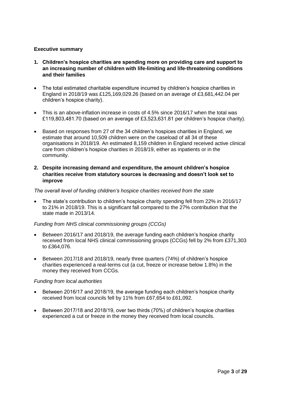# <span id="page-2-0"></span>**Executive summary**

- **1. Children's hospice charities are spending more on providing care and support to an increasing number of children with life-limiting and life-threatening conditions and their families**
- The total estimated charitable expenditure incurred by children's hospice charities in England in 2018/19 was £125,169,029.26 (based on an average of £3,681,442.04 per children's hospice charity).
- This is an above-inflation increase in costs of 4.5% since 2016/17 when the total was £119,803,481.70 (based on an average of £3,523,631.81 per children's hospice charity).
- Based on responses from 27 of the 34 children's hospices charities in England, we estimate that around 10,509 children were on the caseload of all 34 of these organisations in 2018/19. An estimated 8,159 children in England received active clinical care from children's hospice charities in 2018/19, either as inpatients or in the community.

# **2. Despite increasing demand and expenditure, the amount children's hospice charities receive from statutory sources is decreasing and doesn't look set to improve**

# *The overall level of funding children's hospice charities received from the state*

• The state's contribution to children's hospice charity spending fell from 22% in 2016/17 to 21% in 2018/19. This is a significant fall compared to the 27% contribution that the state made in 2013/14.

# *Funding from NHS clinical commissioning groups (CCGs)*

- Between 2016/17 and 2018/19, the average funding each children's hospice charity received from local NHS clinical commissioning groups (CCGs) fell by 2% from £371,303 to £364,076.
- Between 2017/18 and 2018/19, nearly three quarters (74%) of children's hospice charities experienced a real-terms cut (a cut, freeze or increase below 1.8%) in the money they received from CCGs.

#### *Funding from local authorities*

- Between 2016/17 and 2018/19, the average funding each children's hospice charity received from local councils fell by 11% from £67,654 to £61,092.
- Between 2017/18 and 2018/19, over two thirds (70%) of children's hospice charities experienced a cut or freeze in the money they received from local councils.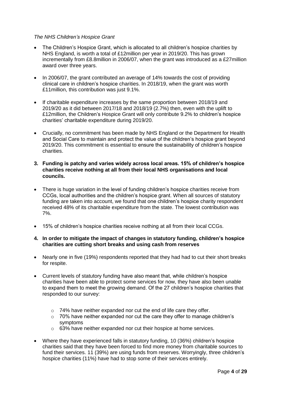#### *The NHS Children's Hospice Grant*

- The Children's Hospice Grant, which is allocated to all children's hospice charities by NHS England, is worth a total of £12million per year in 2019/20. This has grown incrementally from £8.8million in 2006/07, when the grant was introduced as a £27million award over three years.
- In 2006/07, the grant contributed an average of 14% towards the cost of providing clinical care in children's hospice charities. In 2018/19, when the grant was worth £11million, this contribution was just 9.1%.
- If charitable expenditure increases by the same proportion between 2018/19 and 2019/20 as it did between 2017/18 and 2018/19 (2.7%) then, even with the uplift to £12million, the Children's Hospice Grant will only contribute 9.2% to children's hospice charities' charitable expenditure during 2019/20.
- Crucially, no commitment has been made by NHS England or the Department for Health and Social Care to maintain and protect the value of the children's hospice grant beyond 2019/20. This commitment is essential to ensure the sustainability of children's hospice charities.

# **3. Funding is patchy and varies widely across local areas. 15% of children's hospice charities receive nothing at all from their local NHS organisations and local councils.**

- There is huge variation in the level of funding children's hospice charities receive from CCGs, local authorities and the children's hospice grant. When all sources of statutory funding are taken into account, we found that one children's hospice charity respondent received 48% of its charitable expenditure from the state. The lowest contribution was 7%.
- 15% of children's hospice charities receive nothing at all from their local CCGs.

# **4. In order to mitigate the impact of changes in statutory funding, children's hospice charities are cutting short breaks and using cash from reserves**

- Nearly one in five (19%) respondents reported that they had had to cut their short breaks for respite.
- Current levels of statutory funding have also meant that, while children's hospice charities have been able to protect some services for now, they have also been unable to expand them to meet the growing demand. Of the 27 children's hospice charities that responded to our survey:
	- o 74% have neither expanded nor cut the end of life care they offer.
	- $\circ$  70% have neither expanded nor cut the care they offer to manage children's symptoms
	- o 63% have neither expanded nor cut their hospice at home services.
- Where they have experienced falls in statutory funding, 10 (36%) children's hospice charities said that they have been forced to find more money from charitable sources to fund their services. 11 (39%) are using funds from reserves. Worryingly, three children's hospice charities (11%) have had to stop some of their services entirely.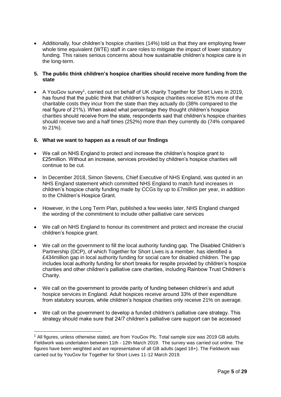• Additionally, four children's hospice charities (14%) told us that they are employing fewer whole time equivalent (WTE) staff in care roles to mitigate the impact of lower statutory funding. This raises serious concerns about how sustainable children's hospice care is in the long-term.

# **5. The public think children's hospice charities should receive more funding from the state**

• A YouGov survey<sup>1</sup>, carried out on behalf of UK charity Together for Short Lives in 2019, has found that the public think that children's hospice charities receive 81% more of the charitable costs they incur from the state than they actually do (38% compared to the real figure of 21%). When asked what percentage they thought children's hospice charities should receive from the state, respondents said that children's hospice charities should receive two and a half times (252%) more than they currently do (74% compared to 21%).

# **6. What we want to happen as a result of our findings**

-

- We call on NHS England to protect and increase the children's hospice grant to £25million. Without an increase, services provided by children's hospice charities will continue to be cut.
- In December 2018, Simon Stevens, Chief Executive of NHS England, was quoted in an NHS England statement which committed NHS England to match fund increases in children's hospice charity funding made by CCGs by up to £7million per year, in addition to the Children's Hospice Grant.
- However, in the Long Term Plan, published a few weeks later, NHS England changed the wording of the commitment to include other palliative care services
- We call on NHS England to honour its commitment and protect and increase the crucial children's hospice grant.
- We call on the government to fill the local authority funding gap. The Disabled Children's Partnership (DCP), of which Together for Short Lives is a member, has identified a £434million gap in local authority funding for social care for disabled children. The gap includes local authority funding for short breaks for respite provided by children's hospice charities and other children's palliative care charities, including Rainbow Trust Children's Charity.
- We call on the government to provide parity of funding between children's and adult hospice services in England. Adult hospices receive around 33% of their expenditure from statutory sources, while children's hospice charities only receive 21% on average.
- We call on the government to develop a funded children's palliative care strategy. This strategy should make sure that 24/7 children's palliative care support can be accessed

<sup>1</sup> All figures, unless otherwise stated, are from YouGov Plc. Total sample size was 2019 GB adults. Fieldwork was undertaken between 11th - 12th March 2019. The survey was carried out online. The figures have been weighted and are representative of all GB adults (aged 18+). The Fieldwork was carried out by YouGov for Together for Short Lives 11-12 March 2019.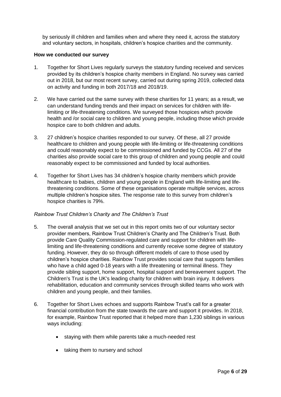by seriously ill children and families when and where they need it, across the statutory and voluntary sectors, in hospitals, children's hospice charities and the community.

#### <span id="page-5-0"></span>**How we conducted our survey**

- 1. Together for Short Lives regularly surveys the statutory funding received and services provided by its children's hospice charity members in England. No survey was carried out in 2018, but our most recent survey, carried out during spring 2019, collected data on activity and funding in both 2017/18 and 2018/19.
- 2. We have carried out the same survey with these charities for 11 years; as a result, we can understand funding trends and their impact on services for children with lifelimiting or life-threatening conditions. We surveyed those hospices which provide health and /or social care to children and young people, including those which provide hospice care to both children and adults.
- 3. 27 children's hospice charities responded to our survey. Of these, all 27 provide healthcare to children and young people with life-limiting or life-threatening conditions and could reasonably expect to be commissioned and funded by CCGs. All 27 of the charities also provide social care to this group of children and young people and could reasonably expect to be commissioned and funded by local authorities.
- 4. Together for Short Lives has 34 children's hospice charity members which provide healthcare to babies, children and young people in England with life-limiting and lifethreatening conditions. Some of these organisations operate multiple services, across multiple children's hospice sites. The response rate to this survey from children's hospice charities is 79%.

# *Rainbow Trust Children's Charity and The Children's Trust*

- 5. The overall analysis that we set out in this report omits two of our voluntary sector provider members, Rainbow Trust Children's Charity and The Children's Trust. Both provide Care Quality Commission-regulated care and support for children with lifelimiting and life-threatening conditions and currently receive some degree of statutory funding. However, they do so through different models of care to those used by children's hospice charities. Rainbow Trust provides social care that supports families who have a child aged 0-18 years with a life threatening or terminal illness. They provide sibling support, home support, hospital support and bereavement support. The Children's Trust is the UK's leading charity for children with brain injury. It delivers rehabilitation, education and community services through skilled teams who work with children and young people, and their families.
- 6. Together for Short Lives echoes and supports Rainbow Trust's call for a greater financial contribution from the state towards the care and support it provides. In 2018, for example, Rainbow Trust reported that it helped more than 1,230 siblings in various ways including:
	- staying with them while parents take a much-needed rest
	- taking them to nursery and school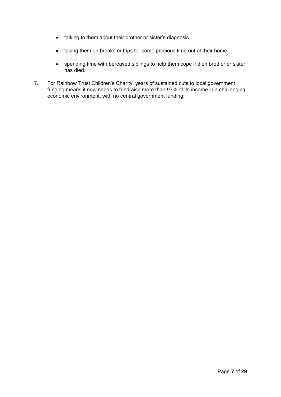- talking to them about their brother or sister's diagnosis
- taking them on breaks or trips for some precious time out of their home
- spending time with bereaved siblings to help them cope if their brother or sister has died.
- 7. For Rainbow Trust Children's Charity, years of sustained cuts to local government funding means it now needs to fundraise more than 97% of its income in a challenging economic environment, with no central government funding.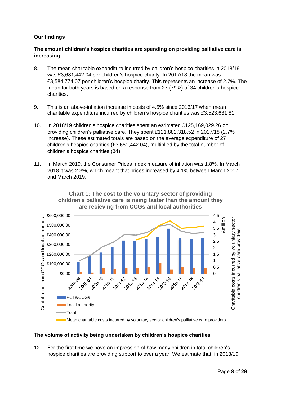# <span id="page-7-0"></span>**Our findings**

# <span id="page-7-1"></span>**The amount children's hospice charities are spending on providing palliative care is increasing**

- 8. The mean charitable expenditure incurred by children's hospice charities in 2018/19 was £3,681,442.04 per children's hospice charity. In 2017/18 the mean was £3,584,774.07 per children's hospice charity. This represents an increase of 2.7%. The mean for both years is based on a response from 27 (79%) of 34 children's hospice charities.
- 9. This is an above-inflation increase in costs of 4.5% since 2016/17 when mean charitable expenditure incurred by children's hospice charities was £3,523,631.81.
- 10. In 2018/19 children's hospice charities spent an estimated £125,169,029.26 on providing children's palliative care. They spent £121,882,318.52 in 2017/18 (2.7% increase). These estimated totals are based on the average expenditure of 27 children's hospice charities (£3,681,442.04), multiplied by the total number of children's hospice charities (34).
- 11. In March 2019, the Consumer Prices Index measure of inflation was 1.8%. In March 2018 it was 2.3%, which meant that prices increased by 4.1% between March 2017 and March 2019.



# <span id="page-7-2"></span>**The volume of activity being undertaken by children's hospice charities**

12. For the first time we have an impression of how many children in total children's hospice charities are providing support to over a year. We estimate that, in 2018/19,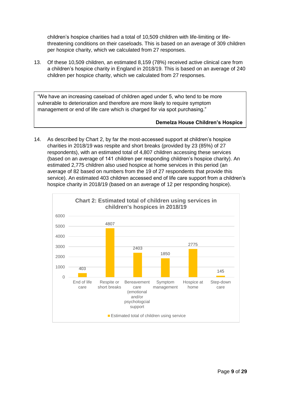children's hospice charities had a total of 10,509 children with life-limiting or lifethreatening conditions on their caseloads. This is based on an average of 309 children per hospice charity, which we calculated from 27 responses.

13. Of these 10,509 children, an estimated 8,159 (78%) received active clinical care from a children's hospice charity in England in 2018/19. This is based on an average of 240 children per hospice charity, which we calculated from 27 responses.

"We have an increasing caseload of children aged under 5, who tend to be more vulnerable to deterioration and therefore are more likely to require symptom management or end of life care which is charged for via spot purchasing."

# **Demelza House Children's Hospice**

14. As described by Chart 2, by far the most-accessed support at children's hospice charities in 2018/19 was respite and short breaks (provided by 23 (85%) of 27 respondents), with an estimated total of 4,807 children accessing these services (based on an average of 141 children per responding children's hospice charity). An estimated 2,775 children also used hospice at home services in this period (an average of 82 based on numbers from the 19 of 27 respondents that provide this service). An estimated 403 children accessed end of life care support from a children's hospice charity in 2018/19 (based on an average of 12 per responding hospice).

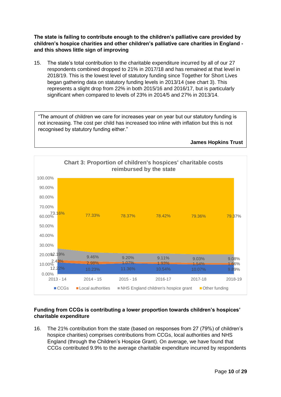<span id="page-9-0"></span>**The state is failing to contribute enough to the children's palliative care provided by children's hospice charities and other children's palliative care charities in England and this shows little sign of improving**

15. The state's total contribution to the charitable expenditure incurred by all of our 27 respondents combined dropped to 21% in 2017/18 and has remained at that level in 2018/19. This is the lowest level of statutory funding since Together for Short Lives began gathering data on statutory funding levels in 2013/14 (see chart 3). This represents a slight drop from 22% in both 2015/16 and 2016/17, but is particularly significant when compared to levels of 23% in 2014/5 and 27% in 2013/14.

"The amount of children we care for increases year on year but our statutory funding is not increasing. The cost per child has increased too inline with inflation but this is not recognised by statutory funding either."

**James Hopkins Trust**



# <span id="page-9-1"></span>**Funding from CCGs is contributing a lower proportion towards children's hospices' charitable expenditure**

16. The 21% contribution from the state (based on responses from 27 (79%) of children's hospice charities) comprises contributions from CCGs, local authorities and NHS England (through the Children's Hospice Grant). On average, we have found that CCGs contributed 9.9% to the average charitable expenditure incurred by respondents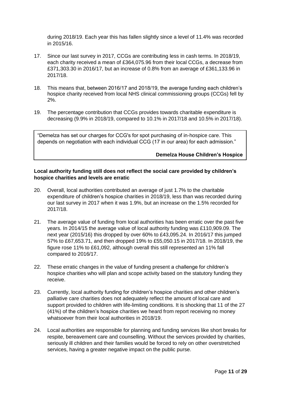during 2018/19. Each year this has fallen slightly since a level of 11.4% was recorded in 2015/16.

- 17. Since our last survey in 2017, CCGs are contributing less in cash terms. In 2018/19, each charity received a mean of £364,075.96 from their local CCGs, a decrease from £371,303.30 in 2016/17, but an increase of 0.8% from an average of £361,133.96 in 2017/18.
- 18. This means that, between 2016/17 and 2018/19, the average funding each children's hospice charity received from local NHS clinical commissioning groups (CCGs) fell by 2%.
- 19. The percentage contribution that CCGs provides towards charitable expenditure is decreasing (9.9% in 2018/19, compared to 10.1% in 2017/18 and 10.5% in 2017/18).

"Demelza has set our charges for CCG's for spot purchasing of in-hospice care. This depends on negotiation with each individual CCG (17 in our area) for each admission."

#### **Demelza House Children's Hospice**

#### <span id="page-10-0"></span>**Local authority funding still does not reflect the social care provided by children's hospice charities and levels are erratic**

- 20. Overall, local authorities contributed an average of just 1.7% to the charitable expenditure of children's hospice charities in 2018/19, less than was recorded during our last survey in 2017 when it was 1.9%, but an increase on the 1.5% recorded for 2017/18.
- 21. The average value of funding from local authorities has been erratic over the past five years. In 2014/15 the average value of local authority funding was £110,909.09. The next year (2015/16) this dropped by over 60% to £43,095.24. In 2016/17 this jumped 57% to £67,653.71, and then dropped 19% to £55,050.15 in 2017/18. In 2018/19, the figure rose 11% to £61,092, although overall this still represented an 11% fall compared to 2016/17.
- 22. These erratic changes in the value of funding present a challenge for children's hospice charities who will plan and scope activity based on the statutory funding they receive.
- 23. Currently, local authority funding for children's hospice charities and other children's palliative care charities does not adequately reflect the amount of local care and support provided to children with life-limiting conditions. It is shocking that 11 of the 27 (41%) of the children's hospice charities we heard from report receiving no money whatsoever from their local authorities in 2018/19.
- 24. Local authorities are responsible for planning and funding services like short breaks for respite, bereavement care and counselling. Without the services provided by charities, seriously ill children and their families would be forced to rely on other overstretched services, having a greater negative impact on the public purse.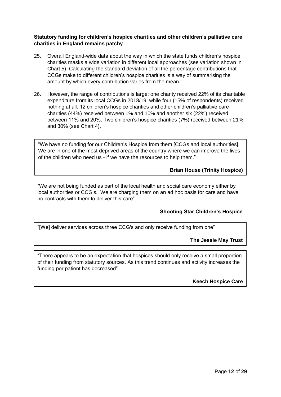# <span id="page-11-0"></span>**Statutory funding for children's hospice charities and other children's palliative care charities in England remains patchy**

- 25. Overall England-wide data about the way in which the state funds children's hospice charities masks a wide variation in different local approaches (see variation shown in Chart 5). Calculating the standard deviation of all the percentage contributions that CCGs make to different children's hospice charities is a way of summarising the amount by which every contribution varies from the mean.
- 26. However, the range of contributions is large: one charity received 22% of its charitable expenditure from its local CCGs in 2018/19, while four (15% of respondents) received nothing at all. 12 children's hospice charities and other children's palliative care charities (44%) received between 1% and 10% and another six (22%) received between 11% and 20%. Two children's hospice charities (7%) received between 21% and 30% (see Chart 4).

"We have no funding for our Children's Hospice from them [CCGs and local authorities]. We are in one of the most deprived areas of the country where we can improve the lives of the children who need us - if we have the resources to help them."

**Brian House (Trinity Hospice)**

"We are not being funded as part of the local health and social care economy either by local authorities or CCG's. We are charging them on an ad hoc basis for care and have no contracts with them to deliver this care"

# **Shooting Star Children's Hospice**

"[We] deliver services across three CCG's and only receive funding from one"

**The Jessie May Trust**

"There appears to be an expectation that hospices should only receive a small proportion of their funding from statutory sources. As this trend continues and activity increases the funding per patient has decreased"

**Keech Hospice Care**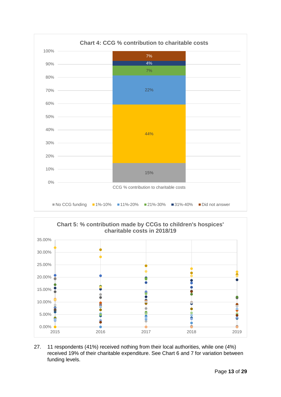



27. 11 respondents (41%) received nothing from their local authorities, while one (4%) received 19% of their charitable expenditure. See Chart 6 and 7 for variation between funding levels.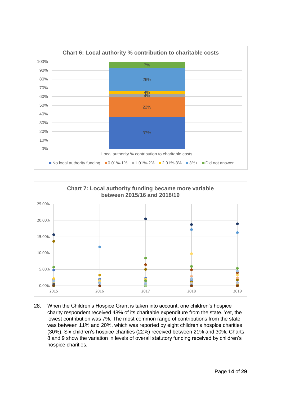



28. When the Children's Hospice Grant is taken into account, one children's hospice charity respondent received 48% of its charitable expenditure from the state. Yet, the lowest contribution was 7%. The most common range of contributions from the state was between 11% and 20%, which was reported by eight children's hospice charities (30%). Six children's hospice charities (22%) received between 21% and 30%. Charts 8 and 9 show the variation in levels of overall statutory funding received by children's hospice charities.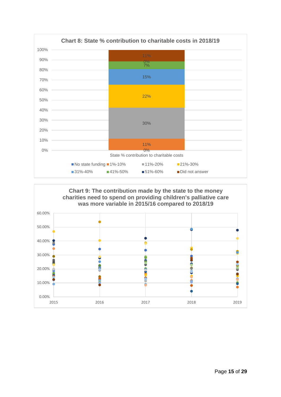

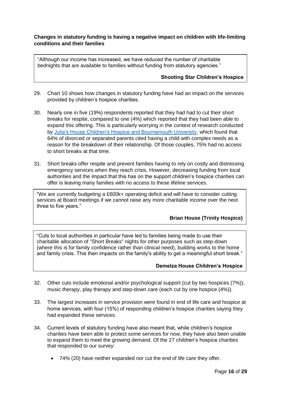# <span id="page-15-0"></span>**Changes in statutory funding is having a negative impact on children with life-limiting conditions and their families**

"Although our income has increased, we have reduced the number of charitable bednights that are available to families without funding from statutory agencies."

#### **Shooting Star Children's Hospice**

- 29. Chart 10 shows how changes in statutory funding have had an impact on the services provided by children's hospice charities.
- 30. Nearly one in five (19%) respondents reported that they had had to cut their short breaks for respite, compared to one (4%) which reported that they had been able to expand this offering. This is particularly worrying in the context of research conducted by [Julia's House Children's Hospice and Bournemouth University,](https://www.juliashouse.org/services/campaigning)) which found that 64% of divorced or separated parents cited having a child with complex needs as a reason for the breakdown of their relationship. Of those couples, 75% had no access to short breaks at that time.
- 31. Short breaks offer respite and prevent families having to rely on costly and distressing emergency services when they reach crisis. However, decreasing funding from local authorities and the impact that this has on the support children's hospice charities can offer is leaving many families with no access to these lifeline services.

"We are currently budgeting a £600k+ operating deficit and will have to consider cutting services at Board meetings if we cannot raise any more charitable income over the next three to five years."

# **Brian House (Trinity Hospice)**

"Cuts to local authorities in particular have led to families being made to use their charitable allocation of "Short Breaks" nights for other purposes such as step-down (where this is for family confidence rather than clinical need), building works to the home and family crisis. This then impacts on the family's ability to get a meaningful short break."

# **Demelza House Children's Hospice**

- 32. Other cuts include emotional and/or psychological support (cut by two hospices (7%)), music therapy, play therapy and step-down care (each cut by one hospice (4%)).
- 33. The largest increases in service provision were found in end of life care and hospice at home services, with four (15%) of responding children's hospice charities saying they had expanded these services.
- 34. Current levels of statutory funding have also meant that, while children's hospice charities have been able to protect some services for now, they have also been unable to expand them to meet the growing demand. Of the 27 children's hospice charities that responded to our survey:
	- 74% (20) have neither expanded nor cut the end of life care they offer.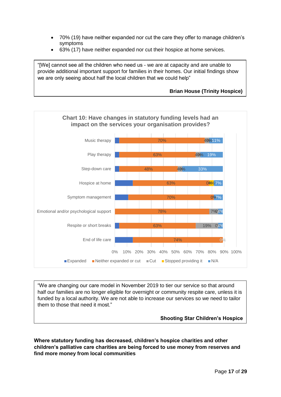- 70% (19) have neither expanded nor cut the care they offer to manage children's symptoms
- 63% (17) have neither expanded nor cut their hospice at home services.

"[We] cannot see all the children who need us - we are at capacity and are unable to provide additional important support for families in their homes. Our initial findings show we are only seeing about half the local children that we could help"

# **Brian House (Trinity Hospice)**



"We are changing our care model in November 2019 to tier our service so that around half our families are no longer eligible for overnight or community respite care, unless it is funded by a local authority. We are not able to increase our services so we need to tailor them to those that need it most."

**Shooting Star Children's Hospice**

<span id="page-16-0"></span>**Where statutory funding has decreased, children's hospice charities and other children's palliative care charities are being forced to use money from reserves and find more money from local communities**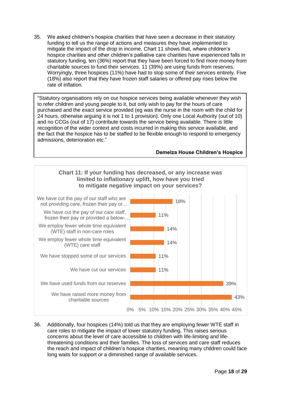35. We asked children's hospice charities that have seen a decrease in their statutory funding to tell us the range of actions and measures they have implemented to mitigate the impact of the drop in income. Chart 11 shows that, where children's hospice charities and other children's palliative care charities have experienced falls in statutory funding, ten (36%) report that they have been forced to find more money from charitable sources to fund their services. 11 (39%) are using funds from reserves. Worryingly, three hospices (11%) have had to stop some of their services entirely. Five (18%) also report that they have frozen staff salaries or offered pay rises below the rate of inflation.

"Statutory organisations rely on our hospice services being available whenever they wish to refer children and young people to it, but only wish to pay for the hours of care purchased and the exact service provided (eg was the nurse in the room with the child for 24 hours, otherwise arguing it is not 1 to 1 provision). Only one Local Authority (out of 10) and no CCGs (out of 17) contribute towards the service being available. There is little recognition of the wider context and costs incurred in making this service available, and the fact that the hospice has to be staffed to be flexible enough to respond to emergency admissions, deterioration etc."

#### **Demelza House Children's Hospice**



36. Additionally, four hospices (14%) told us that they are employing fewer WTE staff in care roles to mitigate the impact of lower statutory funding. This raises serious concerns about the level of care accessible to children with life-limiting and lifethreatening conditions and their families. The loss of services and care staff reduces the reach and impact of children's hospice charities, meaning many children could face long waits for support or a diminished range of available services.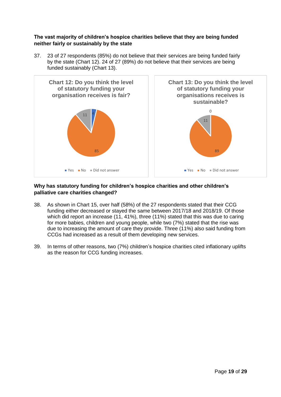<span id="page-18-0"></span>**The vast majority of children's hospice charities believe that they are being funded neither fairly or sustainably by the state**

37. 23 of 27 respondents (85%) do not believe that their services are being funded fairly by the state (Chart 12). 24 of 27 (89%) do not believe that their services are being funded sustainably (Chart 13).



# <span id="page-18-1"></span>**Why has statutory funding for children's hospice charities and other children's palliative care charities changed?**

- 38. As shown in Chart 15, over half (58%) of the 27 respondents stated that their CCG funding either decreased or stayed the same between 2017/18 and 2018/19. Of those which did report an increase (11, 41%), three (11%) stated that this was due to caring for more babies, children and young people, while two (7%) stated that the rise was due to increasing the amount of care they provide. Three (11%) also said funding from CCGs had increased as a result of them developing new services.
- 39. In terms of other reasons, two (7%) children's hospice charities cited inflationary uplifts as the reason for CCG funding increases.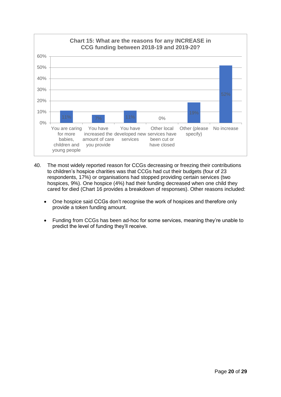

- 40. The most widely reported reason for CCGs decreasing or freezing their contributions to children's hospice charities was that CCGs had cut their budgets (four of 23 respondents, 17%) or organisations had stopped providing certain services (two hospices, 9%). One hospice (4%) had their funding decreased when one child they cared for died (Chart 16 provides a breakdown of responses). Other reasons included:
	- One hospice said CCGs don't recognise the work of hospices and therefore only provide a token funding amount.
	- Funding from CCGs has been ad-hoc for some services, meaning they're unable to predict the level of funding they'll receive.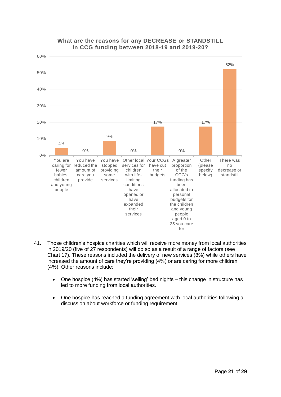

- 41. Those children's hospice charities which will receive more money from local authorities in 2019/20 (five of 27 respondents) will do so as a result of a range of factors (see Chart 17). These reasons included the delivery of new services (8%) while others have increased the amount of care they're providing (4%) or are caring for more children (4%). Other reasons include:
	- One hospice (4%) has started 'selling' bed nights this change in structure has led to more funding from local authorities.
	- One hospice has reached a funding agreement with local authorities following a discussion about workforce or funding requirement.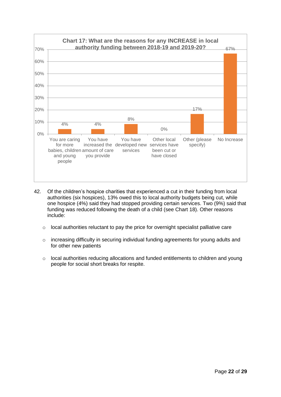

- 42. Of the children's hospice charities that experienced a cut in their funding from local authorities (six hospices), 13% owed this to local authority budgets being cut, while one hospice (4%) said they had stopped providing certain services. Two (9%) said that funding was reduced following the death of a child (see Chart 18). Other reasons include:
	- o local authorities reluctant to pay the price for overnight specialist palliative care
	- o increasing difficulty in securing individual funding agreements for young adults and for other new patients
	- o local authorities reducing allocations and funded entitlements to children and young people for social short breaks for respite.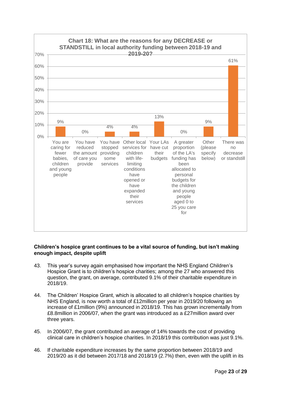

# <span id="page-22-0"></span>**Children's hospice grant continues to be a vital source of funding, but isn't making enough impact, despite uplift**

- 43. This year's survey again emphasised how important the NHS England Children's Hospice Grant is to children's hospice charities; among the 27 who answered this question, the grant, on average, contributed 9.1% of their charitable expenditure in 2018/19.
- 44. The Children' Hospice Grant, which is allocated to all children's hospice charities by NHS England, is now worth a total of £12million per year in 2019/20 following an increase of £1million (9%) announced in 2018/19. This has grown incrementally from £8.8million in 2006/07, when the grant was introduced as a £27million award over three years.
- 45. In 2006/07, the grant contributed an average of 14% towards the cost of providing clinical care in children's hospice charities. In 2018/19 this contribution was just 9.1%.
- 46. If charitable expenditure increases by the same proportion between 2018/19 and 2019/20 as it did between 2017/18 and 2018/19 (2.7%) then, even with the uplift in its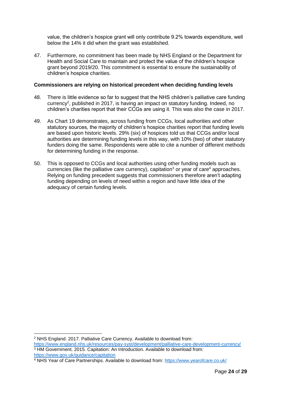value, the children's hospice grant will only contribute 9.2% towards expenditure, well below the 14% it did when the grant was established.

47. Furthermore, no commitment has been made by NHS England or the Department for Health and Social Care to maintain and protect the value of the children's hospice grant beyond 2019/20. This commitment is essential to ensure the sustainability of children's hospice charities.

#### <span id="page-23-0"></span>**Commissioners are relying on historical precedent when deciding funding levels**

- 48. There is little evidence so far to suggest that the NHS children's palliative care funding currency<sup>2</sup>, published in 2017, is having an impact on statutory funding. Indeed, no children's charities report that their CCGs are using it. This was also the case in 2017.
- 49. As Chart 19 demonstrates, across funding from CCGs, local authorities and other statutory sources, the majority of children's hospice charities report that funding levels are based upon historic levels. 29% (six) of hospices told us that CCGs and/or local authorities are determining funding levels in this way, with 10% (two) of other statutory funders doing the same. Respondents were able to cite a number of different methods for determining funding in the response.
- 50. This is opposed to CCGs and local authorities using other funding models such as currencies (like the palliative care currency), capitation<sup>3</sup> or year of care<sup>4</sup> approaches. Relying on funding precedent suggests that commissioners therefore aren't adapting funding depending on levels of need within a region and have little idea of the adequacy of certain funding levels.

<sup>-</sup><sup>2</sup> NHS England. 2017. Palliative Care Currency. Available to download from: <https://www.england.nhs.uk/resources/pay-syst/development/palliative-care-development-currency/>

<sup>3</sup> HM Government. 2015. Capitation: An Introduction. Available to download from: <https://www.gov.uk/guidance/capitation>

<sup>4</sup> NHS Year of Care Partnerships. Available to download from:<https://www.yearofcare.co.uk/>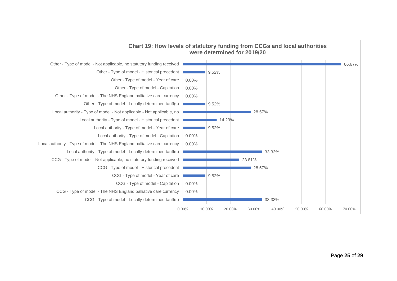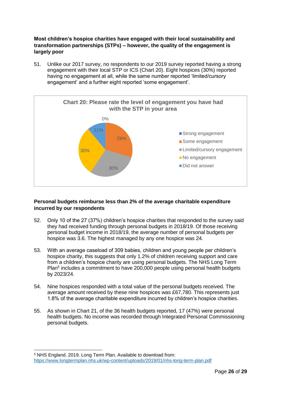<span id="page-25-0"></span>**Most children's hospice charities have engaged with their local sustainability and transformation partnerships (STPs) – however, the quality of the engagement is largely poor**

51. Unlike our 2017 survey, no respondents to our 2019 survey reported having a strong engagement with their local STP or ICS (Chart 20). Eight hospices (30%) reported having no engagement at all, while the same number reported 'limited/cursory engagement' and a further eight reported 'some engagement'.



# <span id="page-25-1"></span>**Personal budgets reimburse less than 2% of the average charitable expenditure incurred by our respondents**

- 52. Only 10 of the 27 (37%) children's hospice charities that responded to the survey said they had received funding through personal budgets in 2018/19. Of those receiving personal budget income in 2018/19, the average number of personal budgets per hospice was 3.6. The highest managed by any one hospice was 24.
- 53. With an average caseload of 309 babies, children and young people per children's hospice charity, this suggests that only 1.2% of children receiving support and care from a children's hospice charity are using personal budgets. The NHS Long Term Plan<sup>5</sup> includes a commitment to have 200,000 people using personal health budgets by 2023/24.
- 54. Nine hospices responded with a total value of the personal budgets received. The average amount received by these nine hospices was £67,780. This represents just 1.8% of the average charitable expenditure incurred by children's hospice charities.
- 55. As shown in Chart 21, of the 36 health budgets reported, 17 (47%) were personal health budgets. No income was recorded through Integrated Personal Commissioning personal budgets.

-

<sup>5</sup> NHS England. 2019. Long Term Plan. Available to download from: <https://www.longtermplan.nhs.uk/wp-content/uploads/2019/01/nhs-long-term-plan.pdf>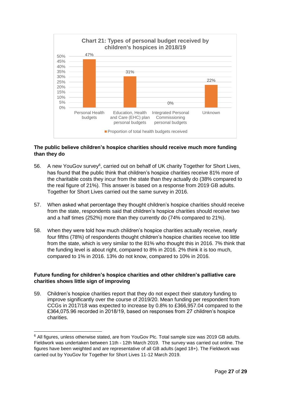

# <span id="page-26-0"></span>**The public believe children's hospice charities should receive much more funding than they do**

- 56. A new YouGov survey<sup>6</sup>, carried out on behalf of UK charity Together for Short Lives, has found that the public think that children's hospice charities receive 81% more of the charitable costs they incur from the state than they actually do (38% compared to the real figure of 21%). This answer is based on a response from 2019 GB adults. Together for Short Lives carried out the same survey in 2016.
- 57. When asked what percentage they thought children's hospice charities should receive from the state, respondents said that children's hospice charities should receive two and a half times (252%) more than they currently do (74% compared to 21%).
- 58. When they were told how much children's hospice charities actually receive, nearly four fifths (78%) of respondents thought children's hospice charities receive too little from the state, which is very similar to the 81% who thought this in 2016. 7% think that the funding level is about right, compared to 8% in 2016. 2% think it is too much, compared to 1% in 2016. 13% do not know, compared to 10% in 2016.

# <span id="page-26-1"></span>**Future funding for children's hospice charities and other children's palliative care charities shows little sign of improving**

59. Children's hospice charities report that they do not expect their statutory funding to improve significantly over the course of 2019/20. Mean funding per respondent from CCGs in 2017/18 was expected to increase by 0.8% to £366,957.04 compared to the £364,075.96 recorded in 2018/19, based on responses from 27 children's hospice charities.

-

<sup>&</sup>lt;sup>6</sup> All figures, unless otherwise stated, are from YouGov Plc. Total sample size was 2019 GB adults. Fieldwork was undertaken between 11th - 12th March 2019. The survey was carried out online. The figures have been weighted and are representative of all GB adults (aged 18+). The Fieldwork was carried out by YouGov for Together for Short Lives 11-12 March 2019.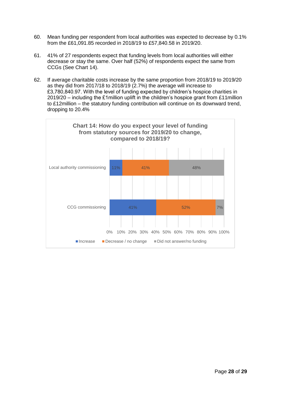- 60. Mean funding per respondent from local authorities was expected to decrease by 0.1% from the £61,091.85 recorded in 2018/19 to £57,840.58 in 2019/20.
- 61. 41% of 27 respondents expect that funding levels from local authorities will either decrease or stay the same. Over half (52%) of respondents expect the same from CCGs (See Chart 14).
- 62. If average charitable costs increase by the same proportion from 2018/19 to 2019/20 as they did from 2017/18 to 2018/19 (2.7%) the average will increase to £3,780,840.97. With the level of funding expected by children's hospice charities in 2019/20 – including the £1million uplift in the children's hospice grant from £11million to £12million – the statutory funding contribution will continue on its downward trend, dropping to 20.4%